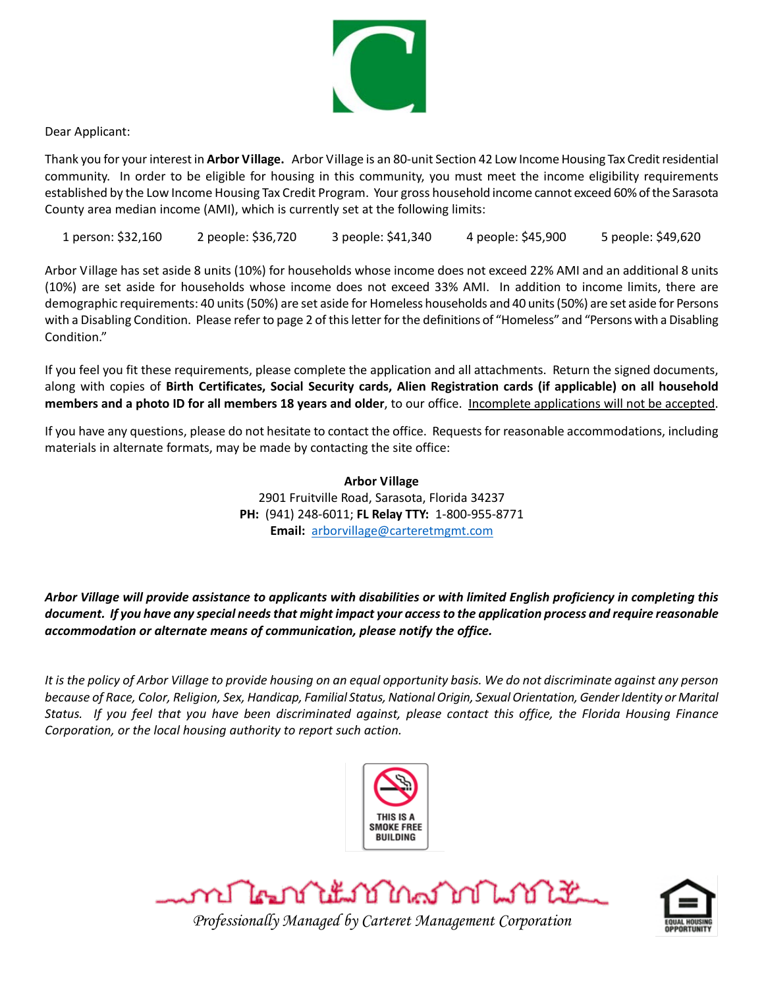

Dear Applicant:

Thank you for your interest in **Arbor Village.** Arbor Village is an 80-unit Section 42 Low Income Housing Tax Creditresidential community. In order to be eligible for housing in this community, you must meet the income eligibility requirements established by the Low Income Housing Tax Credit Program. Your gross household income cannot exceed 60% of the Sarasota County area median income (AMI), which is currently set at the following limits:

1 person: \$32,160 2 people: \$36,720 3 people: \$41,340 4 people: \$45,900 5 people: \$49,620

Arbor Village has set aside 8 units (10%) for households whose income does not exceed 22% AMI and an additional 8 units (10%) are set aside for households whose income does not exceed 33% AMI. In addition to income limits, there are demographic requirements: 40 units(50%) are set aside for Homeless households and 40 units (50%) are set aside for Persons with a Disabling Condition. Please refer to page 2 of this letter for the definitions of "Homeless" and "Persons with a Disabling Condition."

If you feel you fit these requirements, please complete the application and all attachments. Return the signed documents, along with copies of **Birth Certificates, Social Security cards, Alien Registration cards (if applicable) on all household members and a photo ID for all members 18 years and older**, to our office. Incomplete applications will not be accepted.

If you have any questions, please do not hesitate to contact the office. Requests for reasonable accommodations, including materials in alternate formats, may be made by contacting the site office:

> **Arbor Village** 2901 Fruitville Road, Sarasota, Florida 34237 **PH:** (941) 248-6011; **FL Relay TTY:** 1-800-955-8771 **Email:** [arborvillage@carteretmgmt.com](mailto:arborvillage@carteretmgmt.com)

#### *Arbor Village will provide assistance to applicants with disabilities or with limited English proficiency in completing this document. If you have any special needs that might impact your access to the application process and require reasonable accommodation or alternate means of communication, please notify the office.*

*It is the policy of Arbor Village to provide housing on an equal opportunity basis. We do not discriminate against any person because of Race, Color, Religion, Sex, Handicap, Familial Status, National Origin, Sexual Orientation, Gender Identity or Marital Status. If you feel that you have been discriminated against, please contact this office, the Florida Housing Finance Corporation, or the local housing authority to report such action.*







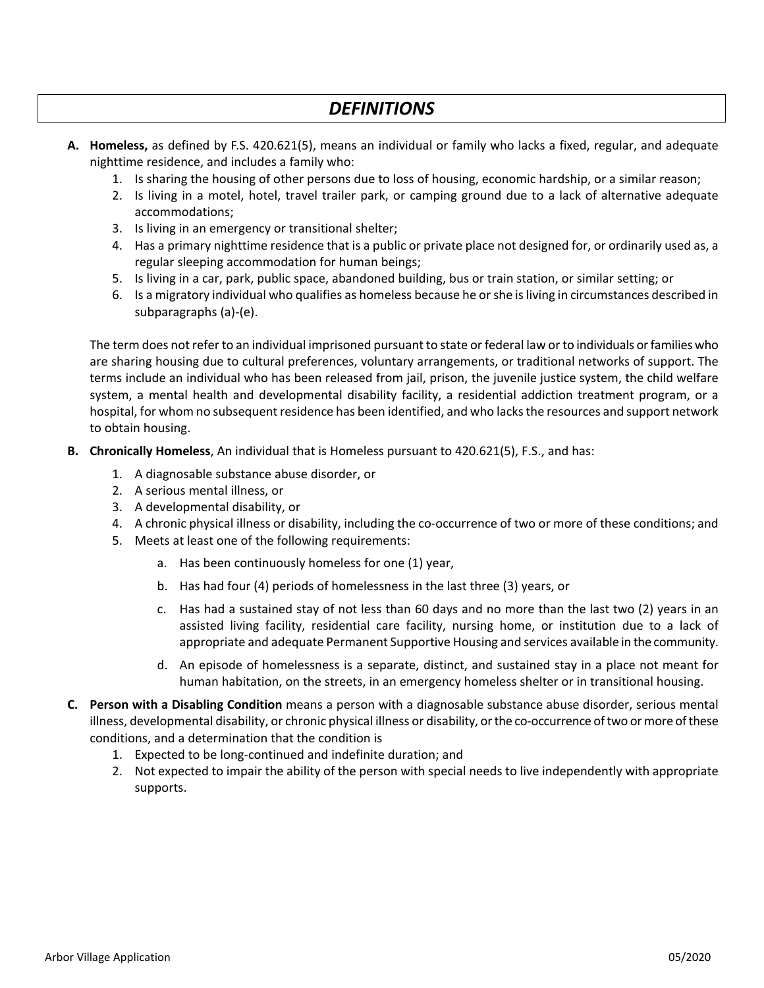# *DEFINITIONS*

- **A. Homeless,** as defined by F.S. 420.621(5), means an individual or family who lacks a fixed, regular, and adequate nighttime residence, and includes a family who:
	- 1. Is sharing the housing of other persons due to loss of housing, economic hardship, or a similar reason;
	- 2. Is living in a motel, hotel, travel trailer park, or camping ground due to a lack of alternative adequate accommodations;
	- 3. Is living in an emergency or transitional shelter;
	- 4. Has a primary nighttime residence that is a public or private place not designed for, or ordinarily used as, a regular sleeping accommodation for human beings;
	- 5. Is living in a car, park, public space, abandoned building, bus or train station, or similar setting; or
	- 6. Is a migratory individual who qualifies as homeless because he or she is living in circumstances described in subparagraphs (a)-(e).

The term does not refer to an individual imprisoned pursuant to state or federal law or to individuals orfamilies who are sharing housing due to cultural preferences, voluntary arrangements, or traditional networks of support. The terms include an individual who has been released from jail, prison, the juvenile justice system, the child welfare system, a mental health and developmental disability facility, a residential addiction treatment program, or a hospital, for whom no subsequent residence has been identified, and who lacks the resources and support network to obtain housing.

- **B. Chronically Homeless**, An individual that is Homeless pursuant to 420.621(5), F.S., and has:
	- 1. A diagnosable substance abuse disorder, or
	- 2. A serious mental illness, or
	- 3. A developmental disability, or
	- 4. A chronic physical illness or disability, including the co-occurrence of two or more of these conditions; and
	- 5. Meets at least one of the following requirements:
		- a. Has been continuously homeless for one (1) year,
		- b. Has had four (4) periods of homelessness in the last three (3) years, or
		- c. Has had a sustained stay of not less than 60 days and no more than the last two (2) years in an assisted living facility, residential care facility, nursing home, or institution due to a lack of appropriate and adequate Permanent Supportive Housing and services available in the community.
		- d. An episode of homelessness is a separate, distinct, and sustained stay in a place not meant for human habitation, on the streets, in an emergency homeless shelter or in transitional housing.
- **C. Person with a Disabling Condition** means a person with a diagnosable substance abuse disorder, serious mental illness, developmental disability, or chronic physical illness or disability, or the co-occurrence of two or more of these conditions, and a determination that the condition is
	- 1. Expected to be long-continued and indefinite duration; and
	- 2. Not expected to impair the ability of the person with special needs to live independently with appropriate supports.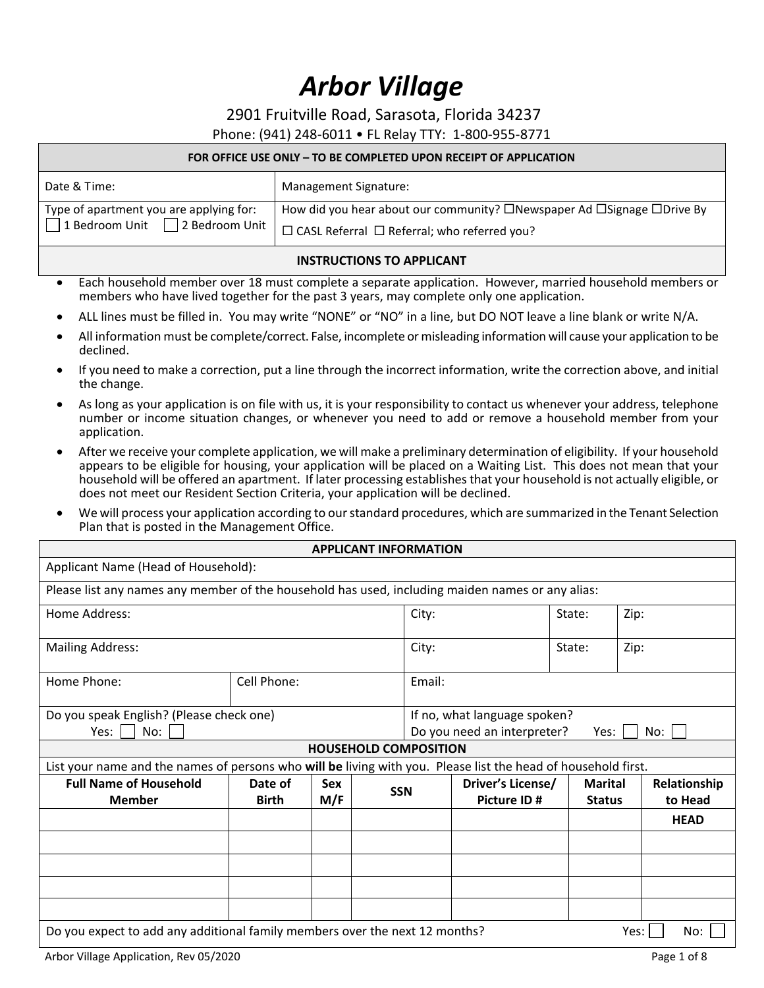# *Arbor Village*

2901 Fruitville Road, Sarasota, Florida 34237

Phone: (941) 248-6011 • FL Relay TTY: 1-800-955-8771

#### **FOR OFFICE USE ONLY – TO BE COMPLETED UPON RECEIPT OF APPLICATION**

| Date & Time:                            | Management Signature:                                                  |
|-----------------------------------------|------------------------------------------------------------------------|
| Type of apartment you are applying for: | How did you hear about our community? □Newspaper Ad □Signage □Drive By |
| 1 Bedroom Unit 2 Bedroom Unit           | I □ CASL Referral □ Referral; who referred you?                        |

#### **INSTRUCTIONS TO APPLICANT**

- Each household member over 18 must complete a separate application. However, married household members or members who have lived together for the past 3 years, may complete only one application.
- ALL lines must be filled in. You may write "NONE" or "NO" in a line, but DO NOT leave a line blank or write N/A.
- All information must be complete/correct. False, incomplete or misleading information will cause your application to be declined.
- If you need to make a correction, put a line through the incorrect information, write the correction above, and initial the change.
- As long as your application is on file with us, it is your responsibility to contact us whenever your address, telephone number or income situation changes, or whenever you need to add or remove a household member from your application.
- After we receive your complete application, we will make a preliminary determination of eligibility. If your household appears to be eligible for housing, your application will be placed on a Waiting List. This does not mean that your household will be offered an apartment. If later processing establishes that your household is not actually eligible, or does not meet our Resident Section Criteria, your application will be declined.
- We will process your application according to our standard procedures, which are summarized in the Tenant Selection Plan that is posted in the Management Office.

|                                                                                                               |                         |                   | <b>APPLICANT INFORMATION</b> |        |                                                             |                                 |      |                         |
|---------------------------------------------------------------------------------------------------------------|-------------------------|-------------------|------------------------------|--------|-------------------------------------------------------------|---------------------------------|------|-------------------------|
| Applicant Name (Head of Household):                                                                           |                         |                   |                              |        |                                                             |                                 |      |                         |
| Please list any names any member of the household has used, including maiden names or any alias:              |                         |                   |                              |        |                                                             |                                 |      |                         |
| Home Address:                                                                                                 |                         |                   |                              | City:  |                                                             | State:                          | Zip: |                         |
| <b>Mailing Address:</b>                                                                                       |                         |                   |                              | City:  |                                                             | State:                          | Zip: |                         |
| Home Phone:                                                                                                   | Cell Phone:             |                   |                              | Email: |                                                             |                                 |      |                         |
| Do you speak English? (Please check one)<br>No:<br>Yes:                                                       |                         |                   |                              |        | If no, what language spoken?<br>Do you need an interpreter? | Yes:                            |      | No:                     |
|                                                                                                               |                         |                   | <b>HOUSEHOLD COMPOSITION</b> |        |                                                             |                                 |      |                         |
| List your name and the names of persons who will be living with you. Please list the head of household first. |                         |                   |                              |        |                                                             |                                 |      |                         |
| <b>Full Name of Household</b><br><b>Member</b>                                                                | Date of<br><b>Birth</b> | <b>Sex</b><br>M/F | <b>SSN</b>                   |        | Driver's License/<br>Picture ID#                            | <b>Marital</b><br><b>Status</b> |      | Relationship<br>to Head |
|                                                                                                               |                         |                   |                              |        |                                                             |                                 |      | <b>HEAD</b>             |
|                                                                                                               |                         |                   |                              |        |                                                             |                                 |      |                         |
|                                                                                                               |                         |                   |                              |        |                                                             |                                 |      |                         |
|                                                                                                               |                         |                   |                              |        |                                                             |                                 |      |                         |
|                                                                                                               |                         |                   |                              |        |                                                             |                                 |      |                         |
| Do you expect to add any additional family members over the next 12 months?                                   |                         |                   |                              |        |                                                             |                                 | Yes: | No:                     |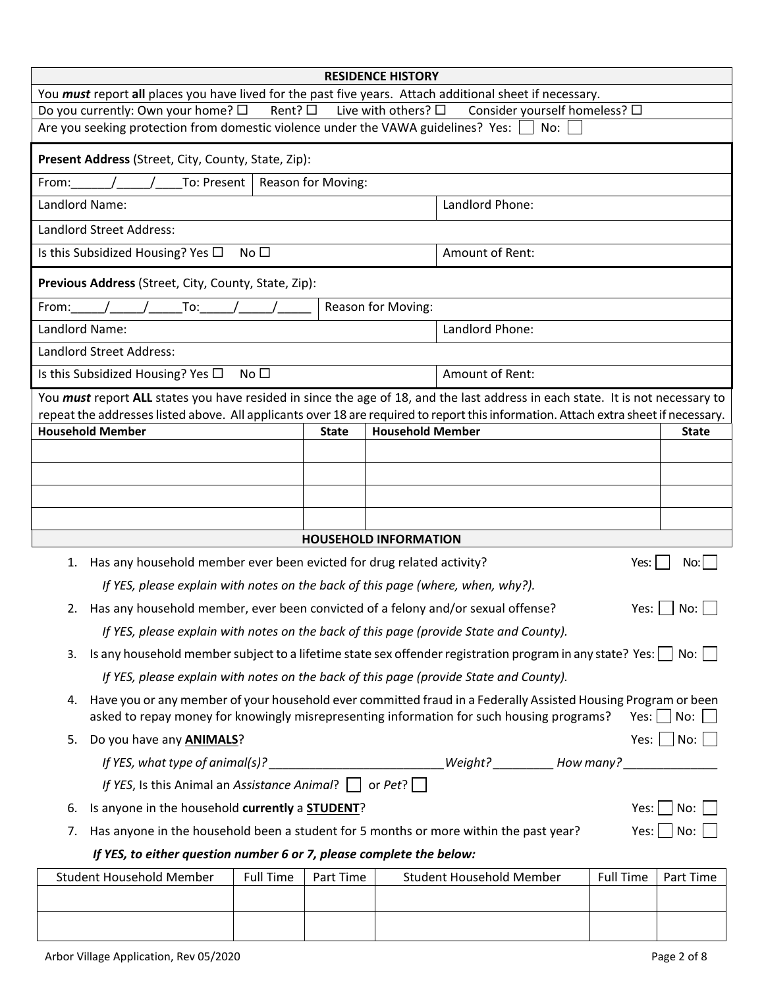| <b>RESIDENCE HISTORY</b>                                                                                                                           |                                                                                                                                                                |  |  |  |  |
|----------------------------------------------------------------------------------------------------------------------------------------------------|----------------------------------------------------------------------------------------------------------------------------------------------------------------|--|--|--|--|
| You must report all places you have lived for the past five years. Attach additional sheet if necessary.                                           |                                                                                                                                                                |  |  |  |  |
| Do you currently: Own your home? $\square$<br>Rent? $\square$<br>Are you seeking protection from domestic violence under the VAWA guidelines? Yes: | Live with others? $\square$<br>Consider yourself homeless? □<br>No:                                                                                            |  |  |  |  |
|                                                                                                                                                    |                                                                                                                                                                |  |  |  |  |
| Present Address (Street, City, County, State, Zip):                                                                                                |                                                                                                                                                                |  |  |  |  |
| To: Present<br>Reason for Moving:<br>From:                                                                                                         |                                                                                                                                                                |  |  |  |  |
| Landlord Name:                                                                                                                                     | Landlord Phone:                                                                                                                                                |  |  |  |  |
| Landlord Street Address:                                                                                                                           |                                                                                                                                                                |  |  |  |  |
| Is this Subsidized Housing? Yes $\Box$<br>No $\square$                                                                                             | Amount of Rent:                                                                                                                                                |  |  |  |  |
| Previous Address (Street, City, County, State, Zip):                                                                                               |                                                                                                                                                                |  |  |  |  |
| To:<br>From:                                                                                                                                       | Reason for Moving:                                                                                                                                             |  |  |  |  |
| Landlord Name:                                                                                                                                     | Landlord Phone:                                                                                                                                                |  |  |  |  |
| Landlord Street Address:                                                                                                                           |                                                                                                                                                                |  |  |  |  |
| Is this Subsidized Housing? Yes $\Box$<br>No <sub>1</sub>                                                                                          | Amount of Rent:                                                                                                                                                |  |  |  |  |
|                                                                                                                                                    | You must report ALL states you have resided in since the age of 18, and the last address in each state. It is not necessary to                                 |  |  |  |  |
| <b>Household Member</b>                                                                                                                            | repeat the addresses listed above. All applicants over 18 are required to report this information. Attach extra sheet if necessary.<br><b>Household Member</b> |  |  |  |  |
| <b>State</b>                                                                                                                                       | <b>State</b>                                                                                                                                                   |  |  |  |  |
|                                                                                                                                                    |                                                                                                                                                                |  |  |  |  |
|                                                                                                                                                    |                                                                                                                                                                |  |  |  |  |
|                                                                                                                                                    |                                                                                                                                                                |  |  |  |  |
| <b>HOUSEHOLD INFORMATION</b>                                                                                                                       |                                                                                                                                                                |  |  |  |  |
| Has any household member ever been evicted for drug related activity?<br>Yes:<br>1.<br>No:                                                         |                                                                                                                                                                |  |  |  |  |
| If YES, please explain with notes on the back of this page (where, when, why?).                                                                    |                                                                                                                                                                |  |  |  |  |
| 2. Has any household member, ever been convicted of a felony and/or sexual offense?<br>Yes:<br>No:                                                 |                                                                                                                                                                |  |  |  |  |
| If YES, please explain with notes on the back of this page (provide State and County).                                                             |                                                                                                                                                                |  |  |  |  |
| Is any household member subject to a lifetime state sex offender registration program in any state? Yes: $\Box$ No: $\Box$<br>3.                   |                                                                                                                                                                |  |  |  |  |
| If YES, please explain with notes on the back of this page (provide State and County).                                                             |                                                                                                                                                                |  |  |  |  |
| Have you or any member of your household ever committed fraud in a Federally Assisted Housing Program or been<br>4.                                |                                                                                                                                                                |  |  |  |  |
| asked to repay money for knowingly misrepresenting information for such housing programs?<br>$Yes: \vert \vert No: \vert \vert \vert$              |                                                                                                                                                                |  |  |  |  |
| Do you have any <b>ANIMALS</b> ?<br>5.                                                                                                             | Yes: $\Box$ No: $\Box$                                                                                                                                         |  |  |  |  |
| If YES, what type of animal(s)? ___________________________Weight? ___________ How many? ________________                                          |                                                                                                                                                                |  |  |  |  |
| If YES, Is this Animal an Assistance Animal? $\Box$ or Pet? $\Box$                                                                                 |                                                                                                                                                                |  |  |  |  |
| Yes: $ $   No:  <br>Is anyone in the household currently a <b>STUDENT</b> ?<br>6.                                                                  |                                                                                                                                                                |  |  |  |  |
| Yes:   No:  <br>Has anyone in the household been a student for 5 months or more within the past year?<br>7.                                        |                                                                                                                                                                |  |  |  |  |
| If YES, to either question number 6 or 7, please complete the below:                                                                               |                                                                                                                                                                |  |  |  |  |
| Student Household Member<br>Full Time<br>Part Time                                                                                                 | Student Household Member<br>Full Time<br>Part Time                                                                                                             |  |  |  |  |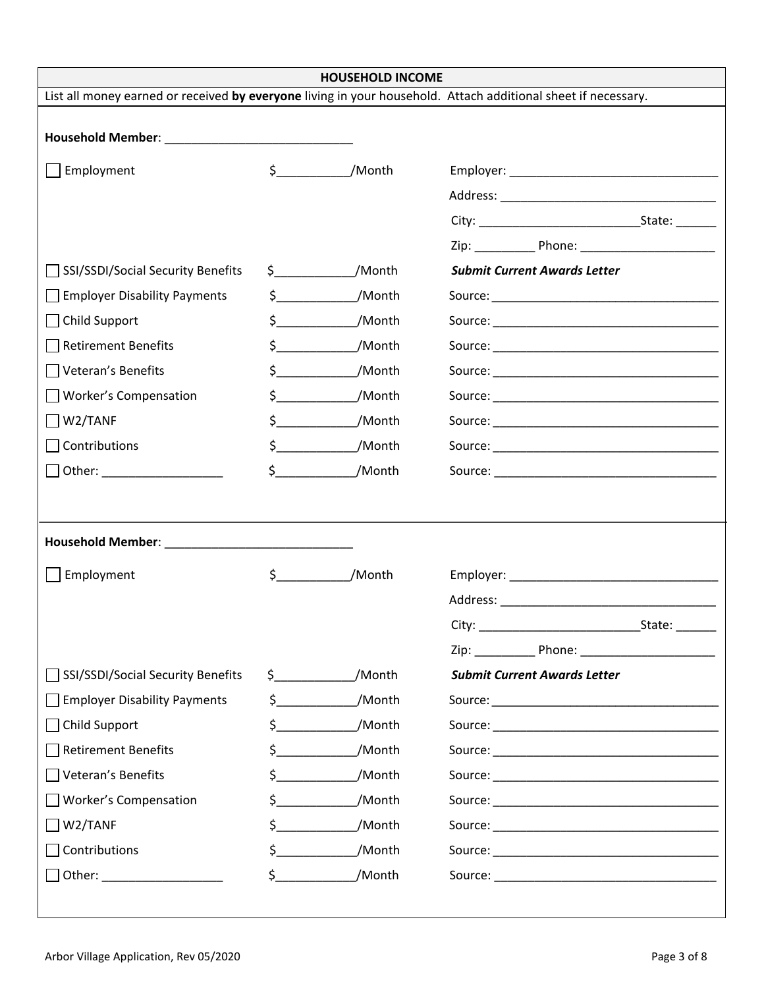| <b>HOUSEHOLD INCOME</b>                                 |                       |                                 |                                                                                                               |  |  |  |
|---------------------------------------------------------|-----------------------|---------------------------------|---------------------------------------------------------------------------------------------------------------|--|--|--|
|                                                         |                       |                                 | List all money earned or received by everyone living in your household. Attach additional sheet if necessary. |  |  |  |
|                                                         |                       |                                 |                                                                                                               |  |  |  |
| Employment                                              | $\frac{1}{2}$         | /Month                          |                                                                                                               |  |  |  |
|                                                         |                       |                                 |                                                                                                               |  |  |  |
|                                                         |                       |                                 |                                                                                                               |  |  |  |
|                                                         |                       |                                 |                                                                                                               |  |  |  |
| SSI/SSDI/Social Security Benefits                       |                       | $$$ /Month                      | <b>Submit Current Awards Letter</b>                                                                           |  |  |  |
| <b>Employer Disability Payments</b>                     |                       | $\zeta$<br>/Month               |                                                                                                               |  |  |  |
| Child Support                                           |                       | $\sharp$<br>/Month              |                                                                                                               |  |  |  |
| <b>Retirement Benefits</b>                              |                       | $\zeta$ and $\zeta$<br>/Month   |                                                                                                               |  |  |  |
| Veteran's Benefits                                      |                       | $\sharp$ and $\sharp$<br>/Month |                                                                                                               |  |  |  |
| <b>Worker's Compensation</b>                            |                       | $\sim$<br>/Month                |                                                                                                               |  |  |  |
| W2/TANF                                                 |                       | $\sim$<br>/Month                |                                                                                                               |  |  |  |
| Contributions                                           |                       | $\mathsf{\$}$<br>/Month         |                                                                                                               |  |  |  |
| Other: _____________________                            |                       | $\sharp$ and $\sharp$<br>/Month |                                                                                                               |  |  |  |
|                                                         |                       |                                 |                                                                                                               |  |  |  |
|                                                         |                       |                                 |                                                                                                               |  |  |  |
|                                                         |                       |                                 |                                                                                                               |  |  |  |
| Employment                                              | $\frac{1}{2}$         | /Month                          |                                                                                                               |  |  |  |
|                                                         |                       |                                 |                                                                                                               |  |  |  |
|                                                         |                       |                                 | City:<br>State:                                                                                               |  |  |  |
|                                                         |                       |                                 |                                                                                                               |  |  |  |
| SSI/SSDI/Social Security Benefits                       |                       | $\sharp$ and $\sharp$<br>/Month | <b>Submit Current Awards Letter</b>                                                                           |  |  |  |
| <b>Employer Disability Payments</b>                     | \$                    | /Month                          |                                                                                                               |  |  |  |
| Child Support                                           | \$                    | /Month                          |                                                                                                               |  |  |  |
| <b>Retirement Benefits</b>                              | \$                    | /Month                          |                                                                                                               |  |  |  |
| Veteran's Benefits                                      | \$.                   | /Month                          |                                                                                                               |  |  |  |
| <b>Worker's Compensation</b>                            | $\sim$                | /Month                          |                                                                                                               |  |  |  |
| W2/TANF                                                 | \$                    | /Month                          |                                                                                                               |  |  |  |
| Contributions                                           | $\sharp$ and $\sharp$ | /Month                          |                                                                                                               |  |  |  |
| Other: <u>with a series of the series of the series</u> |                       | $\frac{1}{2}$<br>/Month         |                                                                                                               |  |  |  |
|                                                         |                       |                                 |                                                                                                               |  |  |  |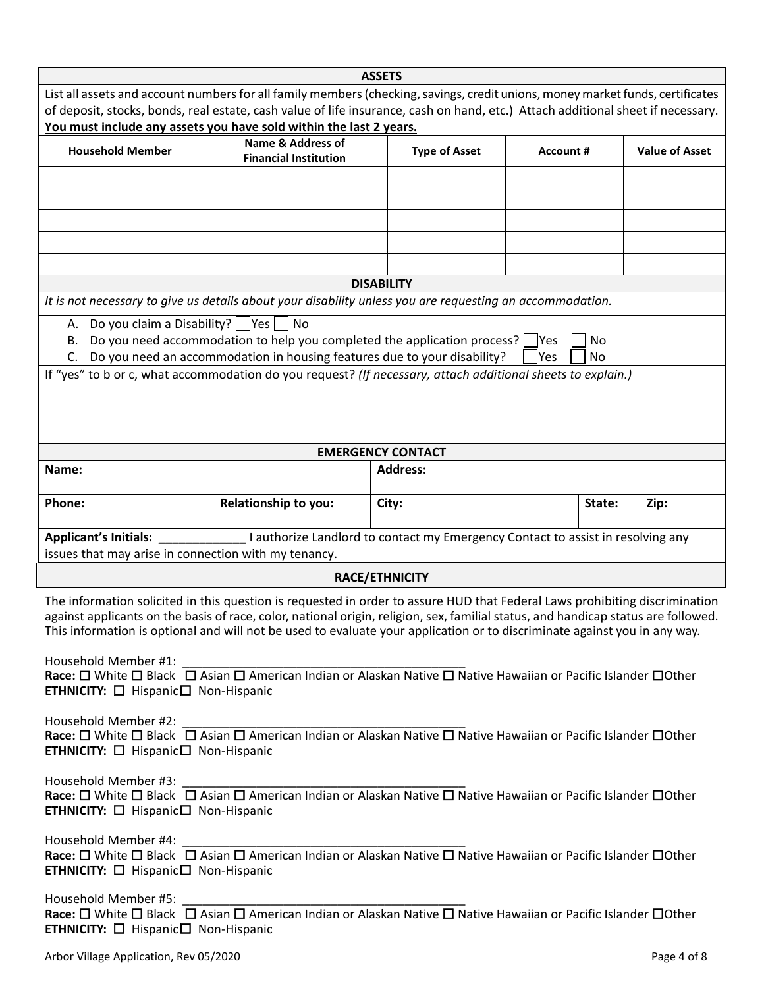|                                                                                                                                                                                                                                                                                                                                                                                                                                                                        |                                                                                                                                                                   | <b>ASSETS</b>                                                                   |                   |          |      |  |
|------------------------------------------------------------------------------------------------------------------------------------------------------------------------------------------------------------------------------------------------------------------------------------------------------------------------------------------------------------------------------------------------------------------------------------------------------------------------|-------------------------------------------------------------------------------------------------------------------------------------------------------------------|---------------------------------------------------------------------------------|-------------------|----------|------|--|
| List all assets and account numbers for all family members (checking, savings, credit unions, money market funds, certificates<br>of deposit, stocks, bonds, real estate, cash value of life insurance, cash on hand, etc.) Attach additional sheet if necessary.                                                                                                                                                                                                      |                                                                                                                                                                   |                                                                                 |                   |          |      |  |
| You must include any assets you have sold within the last 2 years.                                                                                                                                                                                                                                                                                                                                                                                                     |                                                                                                                                                                   |                                                                                 |                   |          |      |  |
| <b>Household Member</b>                                                                                                                                                                                                                                                                                                                                                                                                                                                | <b>Name &amp; Address of</b><br><b>Financial Institution</b>                                                                                                      | <b>Type of Asset</b>                                                            | <b>Account #</b>  |          |      |  |
|                                                                                                                                                                                                                                                                                                                                                                                                                                                                        |                                                                                                                                                                   |                                                                                 |                   |          |      |  |
|                                                                                                                                                                                                                                                                                                                                                                                                                                                                        |                                                                                                                                                                   |                                                                                 |                   |          |      |  |
|                                                                                                                                                                                                                                                                                                                                                                                                                                                                        |                                                                                                                                                                   |                                                                                 |                   |          |      |  |
|                                                                                                                                                                                                                                                                                                                                                                                                                                                                        |                                                                                                                                                                   |                                                                                 |                   |          |      |  |
|                                                                                                                                                                                                                                                                                                                                                                                                                                                                        |                                                                                                                                                                   | <b>DISABILITY</b>                                                               |                   |          |      |  |
| It is not necessary to give us details about your disability unless you are requesting an accommodation.                                                                                                                                                                                                                                                                                                                                                               |                                                                                                                                                                   |                                                                                 |                   |          |      |  |
| A. Do you claim a Disability?       Yes  <br>В.                                                                                                                                                                                                                                                                                                                                                                                                                        | $ $ No<br>Do you need accommodation to help you completed the application process?<br>C. Do you need an accommodation in housing features due to your disability? |                                                                                 | <b>Yes</b><br>Yes | No<br>No |      |  |
| If "yes" to b or c, what accommodation do you request? (If necessary, attach additional sheets to explain.)                                                                                                                                                                                                                                                                                                                                                            |                                                                                                                                                                   |                                                                                 |                   |          |      |  |
|                                                                                                                                                                                                                                                                                                                                                                                                                                                                        |                                                                                                                                                                   | <b>EMERGENCY CONTACT</b>                                                        |                   |          |      |  |
| Name:                                                                                                                                                                                                                                                                                                                                                                                                                                                                  |                                                                                                                                                                   | <b>Address:</b>                                                                 |                   |          |      |  |
| Phone:                                                                                                                                                                                                                                                                                                                                                                                                                                                                 | Relationship to you:                                                                                                                                              | City:                                                                           |                   | State:   | Zip: |  |
| Applicant's Initials:<br>issues that may arise in connection with my tenancy.                                                                                                                                                                                                                                                                                                                                                                                          |                                                                                                                                                                   | I authorize Landlord to contact my Emergency Contact to assist in resolving any |                   |          |      |  |
|                                                                                                                                                                                                                                                                                                                                                                                                                                                                        |                                                                                                                                                                   | <b>RACE/ETHNICITY</b>                                                           |                   |          |      |  |
| The information solicited in this question is requested in order to assure HUD that Federal Laws prohibiting discrimination<br>against applicants on the basis of race, color, national origin, religion, sex, familial status, and handicap status are followed.<br>This information is optional and will not be used to evaluate your application or to discriminate against you in any way.                                                                         |                                                                                                                                                                   |                                                                                 |                   |          |      |  |
| Household Member #1:<br>Race: $\Box$ White $\Box$ Black $\Box$ Asian $\Box$ American Indian or Alaskan Native $\Box$ Native Hawaiian or Pacific Islander $\Box$ Other<br><b>ETHNICITY:</b> $\Box$ Hispanic $\Box$ Non-Hispanic                                                                                                                                                                                                                                         |                                                                                                                                                                   |                                                                                 |                   |          |      |  |
| Household Member #2: $\frac{1}{\sqrt{1-\frac{1}{n}}}\frac{1}{\sqrt{1-\frac{1}{n}}}\frac{1}{\sqrt{1-\frac{1}{n}}}\frac{1}{\sqrt{1-\frac{1}{n}}}\frac{1}{\sqrt{1-\frac{1}{n}}}\frac{1}{\sqrt{1-\frac{1}{n}}}\frac{1}{\sqrt{1-\frac{1}{n}}}\frac{1}{\sqrt{1-\frac{1}{n}}}\frac{1}{\sqrt{1-\frac{1}{n}}}\frac{1}{\sqrt{1-\frac{1}{n}}}\frac{1}{\sqrt{1-\frac{1}{n}}}\frac{1}{\sqrt{1-\frac{1}{n}}}\frac{1}{\sqrt$<br><b>ETHNICITY:</b> $\Box$ Hispanic $\Box$ Non-Hispanic |                                                                                                                                                                   |                                                                                 |                   |          |      |  |
| Household Member #3: $\frac{1}{\sqrt{1-\frac{1}{n}}}\frac{1}{\sqrt{1-\frac{1}{n}}}\frac{1}{\sqrt{1-\frac{1}{n}}}\frac{1}{\sqrt{1-\frac{1}{n}}}\frac{1}{\sqrt{1-\frac{1}{n}}}\frac{1}{\sqrt{1-\frac{1}{n}}}\frac{1}{\sqrt{1-\frac{1}{n}}}\frac{1}{\sqrt{1-\frac{1}{n}}}\frac{1}{\sqrt{1-\frac{1}{n}}}\frac{1}{\sqrt{1-\frac{1}{n}}}\frac{1}{\sqrt{1-\frac{1}{n}}}\frac{1}{\sqrt{1-\frac{1}{n}}}\frac{1}{\sqrt$<br><b>ETHNICITY:</b> $\Box$ Hispanic $\Box$ Non-Hispanic |                                                                                                                                                                   |                                                                                 |                   |          |      |  |
| <b>ETHNICITY:</b> $\Box$ Hispanic $\Box$ Non-Hispanic                                                                                                                                                                                                                                                                                                                                                                                                                  |                                                                                                                                                                   |                                                                                 |                   |          |      |  |
| Household Member #5:<br>Race: $\Box$ White $\Box$ Black $\Box$ Asian $\Box$ American Indian or Alaskan Native $\Box$ Native Hawaiian or Pacific Islander $\Box$ Other<br><b>ETHNICITY:</b> $\Box$ Hispanic $\Box$ Non-Hispanic                                                                                                                                                                                                                                         |                                                                                                                                                                   |                                                                                 |                   |          |      |  |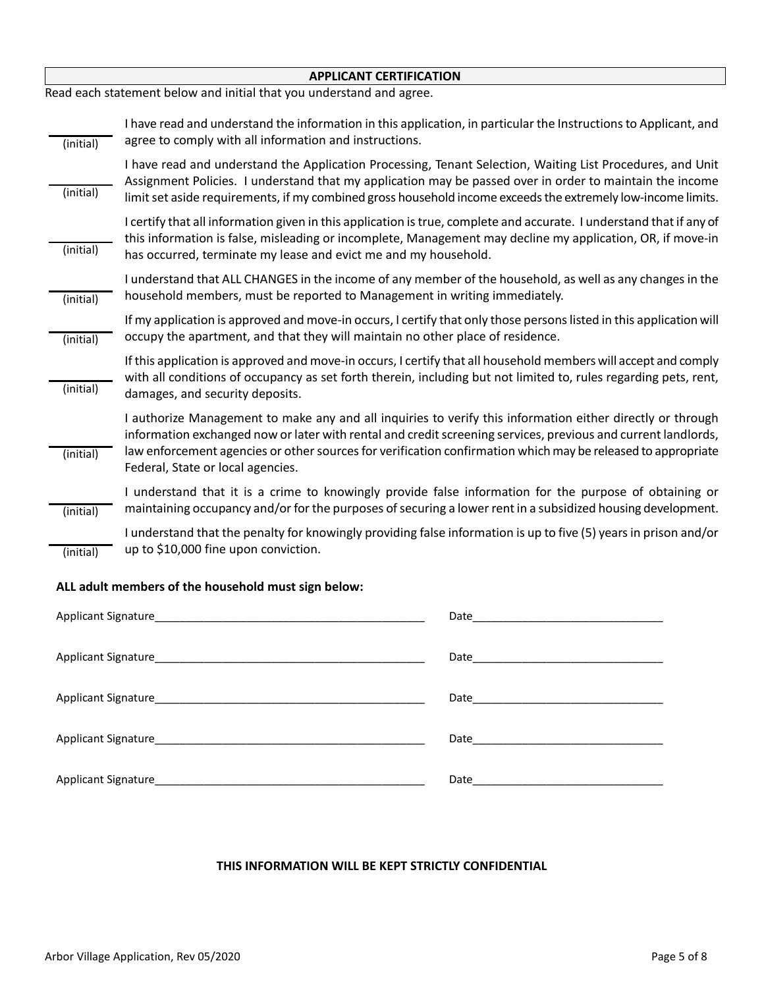| <b>APPLICANT CERTIFICATION</b> |                                                                                                                                                                                                                                                                                                                                                                                  |  |  |  |
|--------------------------------|----------------------------------------------------------------------------------------------------------------------------------------------------------------------------------------------------------------------------------------------------------------------------------------------------------------------------------------------------------------------------------|--|--|--|
|                                | Read each statement below and initial that you understand and agree.                                                                                                                                                                                                                                                                                                             |  |  |  |
| (initial)                      | I have read and understand the information in this application, in particular the Instructions to Applicant, and<br>agree to comply with all information and instructions.                                                                                                                                                                                                       |  |  |  |
| (initial)                      | I have read and understand the Application Processing, Tenant Selection, Waiting List Procedures, and Unit<br>Assignment Policies. I understand that my application may be passed over in order to maintain the income<br>limit set aside requirements, if my combined gross household income exceeds the extremely low-income limits.                                           |  |  |  |
| (initial)                      | I certify that all information given in this application is true, complete and accurate. I understand that if any of<br>this information is false, misleading or incomplete, Management may decline my application, OR, if move-in<br>has occurred, terminate my lease and evict me and my household.                                                                            |  |  |  |
| (initial)                      | I understand that ALL CHANGES in the income of any member of the household, as well as any changes in the<br>household members, must be reported to Management in writing immediately.                                                                                                                                                                                           |  |  |  |
| (initial)                      | If my application is approved and move-in occurs, I certify that only those persons listed in this application will<br>occupy the apartment, and that they will maintain no other place of residence.                                                                                                                                                                            |  |  |  |
| (initial)                      | If this application is approved and move-in occurs, I certify that all household members will accept and comply<br>with all conditions of occupancy as set forth therein, including but not limited to, rules regarding pets, rent,<br>damages, and security deposits.                                                                                                           |  |  |  |
| (initial)                      | I authorize Management to make any and all inquiries to verify this information either directly or through<br>information exchanged now or later with rental and credit screening services, previous and current landlords,<br>law enforcement agencies or other sources for verification confirmation which may be released to appropriate<br>Federal, State or local agencies. |  |  |  |
| (initial)                      | I understand that it is a crime to knowingly provide false information for the purpose of obtaining or<br>maintaining occupancy and/or for the purposes of securing a lower rent in a subsidized housing development.                                                                                                                                                            |  |  |  |
| (initial)                      | I understand that the penalty for knowingly providing false information is up to five (5) years in prison and/or<br>up to \$10,000 fine upon conviction.                                                                                                                                                                                                                         |  |  |  |

### **ALL adult members of the household must sign below:**

| Date___________________                                                                                       |
|---------------------------------------------------------------------------------------------------------------|
|                                                                                                               |
|                                                                                                               |
|                                                                                                               |
| Date and the state of the state of the state of the state of the state of the state of the state of the state |
| Date and the state of the state of the state of the state of the state of the state of the state of the state |

#### **THIS INFORMATION WILL BE KEPT STRICTLY CONFIDENTIAL**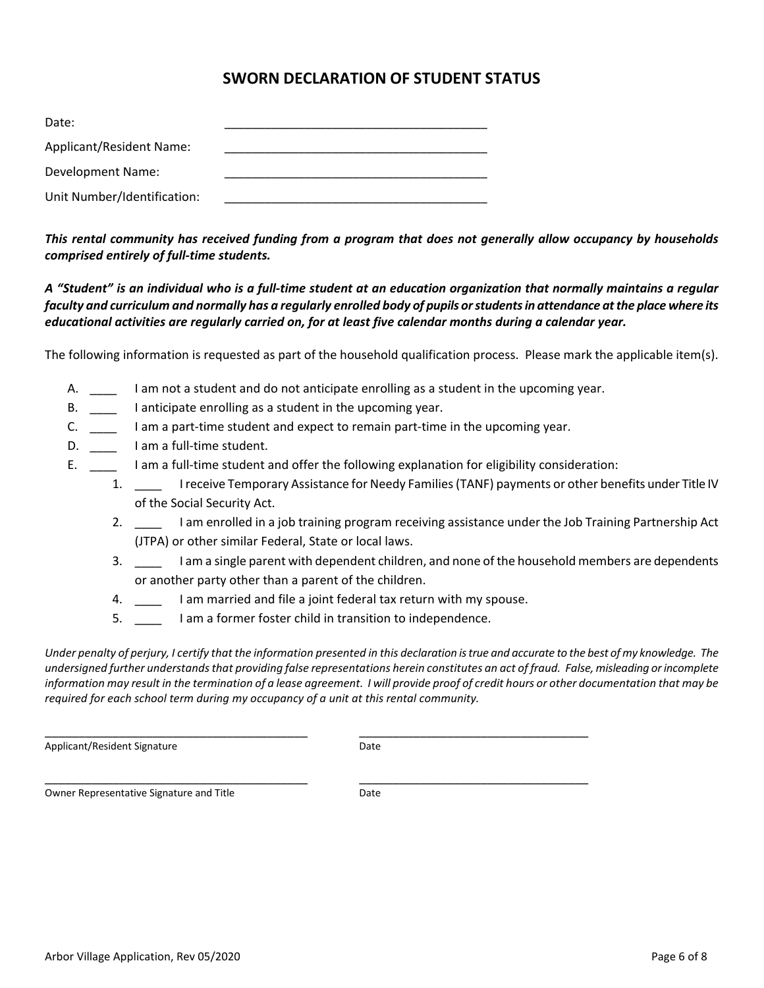## **SWORN DECLARATION OF STUDENT STATUS**

| Date:                           |  |
|---------------------------------|--|
| <b>Applicant/Resident Name:</b> |  |
| Development Name:               |  |
| Unit Number/Identification:     |  |

*This rental community has received funding from a program that does not generally allow occupancy by households comprised entirely of full-time students.*

*A "Student" is an individual who is a full-time student at an education organization that normally maintains a regular faculty and curriculum and normally has a regularly enrolled body of pupils or students in attendance at the place where its educational activities are regularly carried on, for at least five calendar months during a calendar year.*

The following information is requested as part of the household qualification process. Please mark the applicable item(s).

- A. \_\_\_\_ I am not a student and do not anticipate enrolling as a student in the upcoming year.
- B. \_\_\_\_ I anticipate enrolling as a student in the upcoming year.
- C. \_\_\_\_ I am a part-time student and expect to remain part-time in the upcoming year.
- D. \_\_\_\_\_\_\_ I am a full-time student.
- E. \_\_\_\_ I am a full-time student and offer the following explanation for eligibility consideration:
	- 1. \_\_\_\_ I receive Temporary Assistance for Needy Families (TANF) payments or other benefits under Title IV of the Social Security Act.
	- 2. \_\_\_\_ I am enrolled in a job training program receiving assistance under the Job Training Partnership Act (JTPA) or other similar Federal, State or local laws.
	- 3. \_\_\_\_ I am a single parent with dependent children, and none of the household members are dependents or another party other than a parent of the children.
	- 4. \_\_\_\_ I am married and file a joint federal tax return with my spouse.

\_\_\_\_\_\_\_\_\_\_\_\_\_\_\_\_\_\_\_\_\_\_\_\_\_\_\_\_\_\_\_\_\_\_\_\_\_\_\_ \_\_\_\_\_\_\_\_\_\_\_\_\_\_\_\_\_\_\_\_\_\_\_\_\_\_\_\_\_\_\_\_\_\_

\_\_\_\_\_\_\_\_\_\_\_\_\_\_\_\_\_\_\_\_\_\_\_\_\_\_\_\_\_\_\_\_\_\_\_\_\_\_\_ \_\_\_\_\_\_\_\_\_\_\_\_\_\_\_\_\_\_\_\_\_\_\_\_\_\_\_\_\_\_\_\_\_\_

5. \_\_\_\_ I am a former foster child in transition to independence.

*Under penalty of perjury, I certify that the information presented in this declaration is true and accurate to the best of my knowledge. The undersigned further understands that providing false representations herein constitutes an act of fraud. False, misleading or incomplete information may result in the termination of a lease agreement. I will provide proof of credit hours or other documentation that may be required for each school term during my occupancy of a unit at this rental community.*

Applicant/Resident Signature Date

Owner Representative Signature and Title **Example 20** Date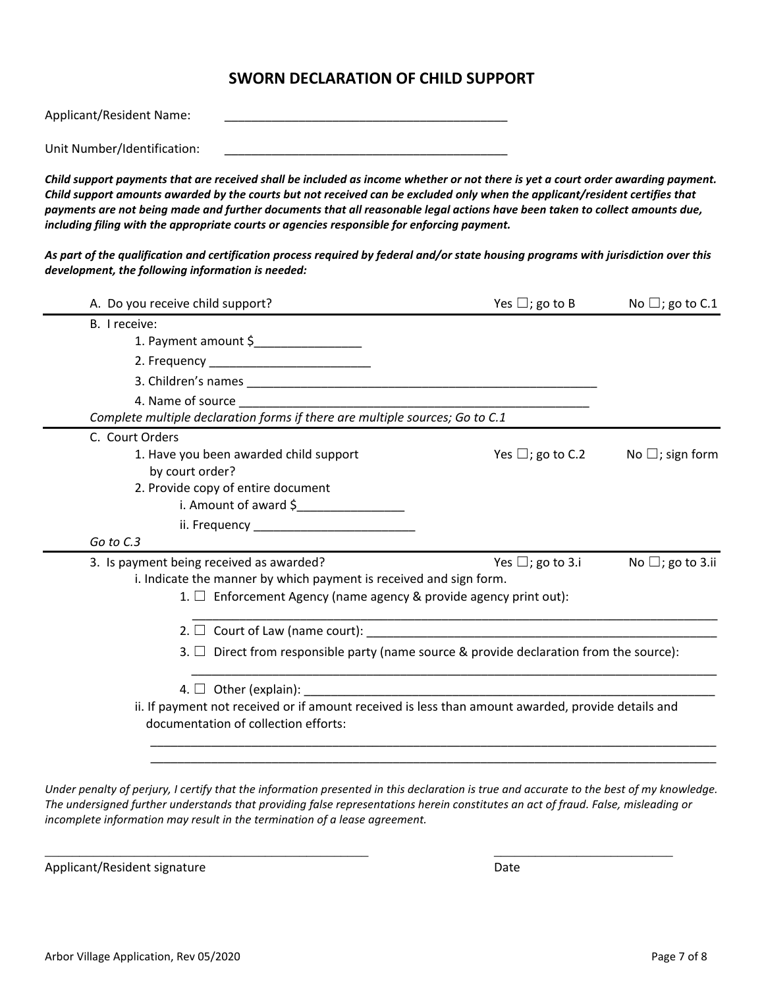## **SWORN DECLARATION OF CHILD SUPPORT**

| Applicant/Resident Name: |  |  |  |
|--------------------------|--|--|--|
|                          |  |  |  |

Unit Number/Identification:

*Child support payments that are received shall be included as income whether or not there is yet a court order awarding payment. Child support amounts awarded by the courts but not received can be excluded only when the applicant/resident certifies that payments are not being made and further documents that all reasonable legal actions have been taken to collect amounts due, including filing with the appropriate courts or agencies responsible for enforcing payment.* 

*As part of the qualification and certification process required by federal and/or state housing programs with jurisdiction over this development, the following information is needed:* 

| A. Do you receive child support?                                                                   | Yes $\Box$ ; go to B      | No $\Box$ ; go to C.1  |
|----------------------------------------------------------------------------------------------------|---------------------------|------------------------|
| B. I receive:                                                                                      |                           |                        |
| 1. Payment amount \$                                                                               |                           |                        |
|                                                                                                    |                           |                        |
|                                                                                                    |                           |                        |
|                                                                                                    |                           |                        |
| Complete multiple declaration forms if there are multiple sources; Go to C.1                       |                           |                        |
| C. Court Orders                                                                                    |                           |                        |
| 1. Have you been awarded child support                                                             | Yes $\Box$ ; go to C.2    | No $\Box$ ; sign form  |
| by court order?                                                                                    |                           |                        |
| 2. Provide copy of entire document                                                                 |                           |                        |
| i. Amount of award \$                                                                              |                           |                        |
|                                                                                                    |                           |                        |
| Go to C.3                                                                                          |                           |                        |
| 3. Is payment being received as awarded?                                                           | Yes $\square$ ; go to 3.i | No $\Box$ ; go to 3.ii |
| i. Indicate the manner by which payment is received and sign form.                                 |                           |                        |
| 1. $\Box$ Enforcement Agency (name agency & provide agency print out):                             |                           |                        |
|                                                                                                    |                           |                        |
| 3. $\Box$ Direct from responsible party (name source & provide declaration from the source):       |                           |                        |
|                                                                                                    |                           |                        |
| ii. If payment not received or if amount received is less than amount awarded, provide details and |                           |                        |
| documentation of collection efforts:                                                               |                           |                        |
|                                                                                                    |                           |                        |
|                                                                                                    |                           |                        |

*Under penalty of perjury, I certify that the information presented in this declaration is true and accurate to the best of my knowledge. The undersigned further understands that providing false representations herein constitutes an act of fraud. False, misleading or incomplete information may result in the termination of a lease agreement.* 

\_\_\_\_\_\_\_\_\_\_\_\_\_\_\_\_\_\_\_\_\_\_\_\_\_\_\_\_\_\_\_\_\_\_\_\_\_\_\_\_\_\_\_\_\_\_\_ \_\_\_\_\_\_\_\_\_\_\_\_\_\_\_\_\_\_\_\_\_\_\_\_\_\_

Applicant/Resident signature data and the control of the Date of Date Date